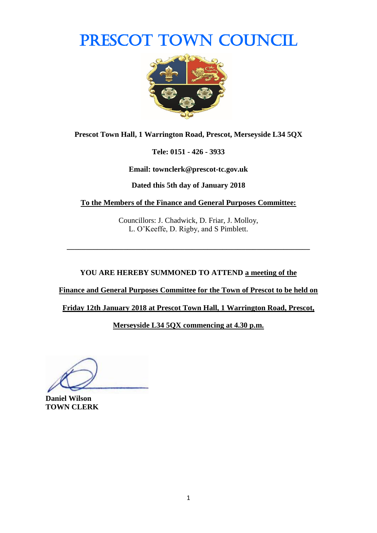# PRESCOT TOWN COUNCIL



**Prescot Town Hall, 1 Warrington Road, Prescot, Merseyside L34 5QX**

**Tele: 0151 - 426 - 3933**

**Email: townclerk@prescot-tc.gov.uk**

**Dated this 5th day of January 2018**

**To the Members of the Finance and General Purposes Committee:**

Councillors: J. Chadwick, D. Friar, J. Molloy, L. O'Keeffe, D. Rigby, and S Pimblett.

**\_\_\_\_\_\_\_\_\_\_\_\_\_\_\_\_\_\_\_\_\_\_\_\_\_\_\_\_\_\_\_\_\_\_\_\_\_\_\_\_\_\_\_\_\_\_\_\_\_\_\_\_\_\_\_\_\_\_\_\_\_\_\_\_**

**YOU ARE HEREBY SUMMONED TO ATTEND a meeting of the** 

**Finance and General Purposes Committee for the Town of Prescot to be held on** 

**Friday 12th January 2018 at Prescot Town Hall, 1 Warrington Road, Prescot,** 

**Merseyside L34 5QX commencing at 4.30 p.m.**

**Daniel Wilson TOWN CLERK**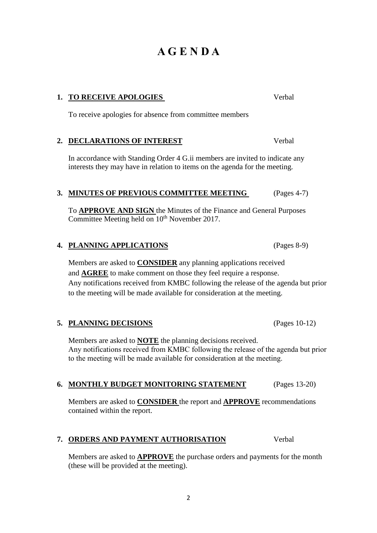### 2

# **A G E N D A**

### **1. TO RECEIVE APOLOGIES** Verbal

To receive apologies for absence from committee members

### **2. DECLARATIONS OF INTEREST** Verbal

In accordance with Standing Order 4 G.ii members are invited to indicate any interests they may have in relation to items on the agenda for the meeting.

### **3. MINUTES OF PREVIOUS COMMITTEE MEETING** (Pages 4-7)

To **APPROVE AND SIGN** the Minutes of the Finance and General Purposes Committee Meeting held on 10<sup>th</sup> November 2017.

### **4. PLANNING APPLICATIONS** (Pages 8-9)

Members are asked to **CONSIDER** any planning applications received and **AGREE** to make comment on those they feel require a response. Any notifications received from KMBC following the release of the agenda but prior to the meeting will be made available for consideration at the meeting.

#### **5. PLANNING DECISIONS** (Pages 10-12)

Members are asked to **NOTE** the planning decisions received. Any notifications received from KMBC following the release of the agenda but prior to the meeting will be made available for consideration at the meeting.

#### **6. MONTHLY BUDGET MONITORING STATEMENT** (Pages 13-20)

Members are asked to **CONSIDER** the report and **APPROVE** recommendations contained within the report.

#### **7. ORDERS AND PAYMENT AUTHORISATION** Verbal

Members are asked to **APPROVE** the purchase orders and payments for the month (these will be provided at the meeting).